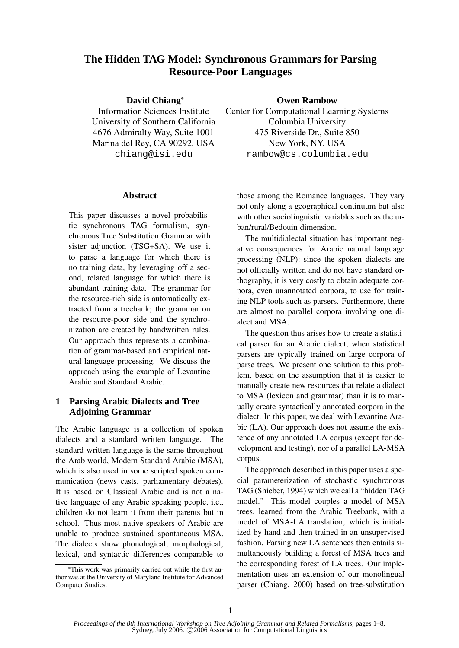# **The Hidden TAG Model: Synchronous Grammars for Parsing Resource-Poor Languages**

**David Chiang**<sup>∗</sup>

Information Sciences Institute University of Southern California 4676 Admiralty Way, Suite 1001 Marina del Rey, CA 90292, USA chiang@isi.edu

#### **Abstract**

This paper discusses a novel probabilistic synchronous TAG formalism, synchronous Tree Substitution Grammar with sister adjunction (TSG+SA). We use it to parse a language for which there is no training data, by leveraging off a second, related language for which there is abundant training data. The grammar for the resource-rich side is automatically extracted from a treebank; the grammar on the resource-poor side and the synchronization are created by handwritten rules. Our approach thus represents a combination of grammar-based and empirical natural language processing. We discuss the approach using the example of Levantine Arabic and Standard Arabic.

## **1 Parsing Arabic Dialects and Tree Adjoining Grammar**

The Arabic language is a collection of spoken dialects and a standard written language. The standard written language is the same throughout the Arab world, Modern Standard Arabic (MSA), which is also used in some scripted spoken communication (news casts, parliamentary debates). It is based on Classical Arabic and is not a native language of any Arabic speaking people, i.e., children do not learn it from their parents but in school. Thus most native speakers of Arabic are unable to produce sustained spontaneous MSA. The dialects show phonological, morphological, lexical, and syntactic differences comparable to **Owen Rambow**

Center for Computational Learning Systems Columbia University 475 Riverside Dr., Suite 850 New York, NY, USA rambow@cs.columbia.edu

those among the Romance languages. They vary not only along a geographical continuum but also with other sociolinguistic variables such as the urban/rural/Bedouin dimension.

The multidialectal situation has important negative consequences for Arabic natural language processing (NLP): since the spoken dialects are not officially written and do not have standard orthography, it is very costly to obtain adequate corpora, even unannotated corpora, to use for training NLP tools such as parsers. Furthermore, there are almost no parallel corpora involving one dialect and MSA.

The question thus arises how to create a statistical parser for an Arabic dialect, when statistical parsers are typically trained on large corpora of parse trees. We present one solution to this problem, based on the assumption that it is easier to manually create new resources that relate a dialect to MSA (lexicon and grammar) than it is to manually create syntactically annotated corpora in the dialect. In this paper, we deal with Levantine Arabic (LA). Our approach does not assume the existence of any annotated LA corpus (except for development and testing), nor of a parallel LA-MSA corpus.

The approach described in this paper uses a special parameterization of stochastic synchronous TAG (Shieber, 1994) which we call a "hidden TAG model." This model couples a model of MSA trees, learned from the Arabic Treebank, with a model of MSA-LA translation, which is initialized by hand and then trained in an unsupervised fashion. Parsing new LA sentences then entails simultaneously building a forest of MSA trees and the corresponding forest of LA trees. Our implementation uses an extension of our monolingual parser (Chiang, 2000) based on tree-substitution

<sup>∗</sup>This work was primarily carried out while the first author was at the University of Maryland Institute for Advanced Computer Studies.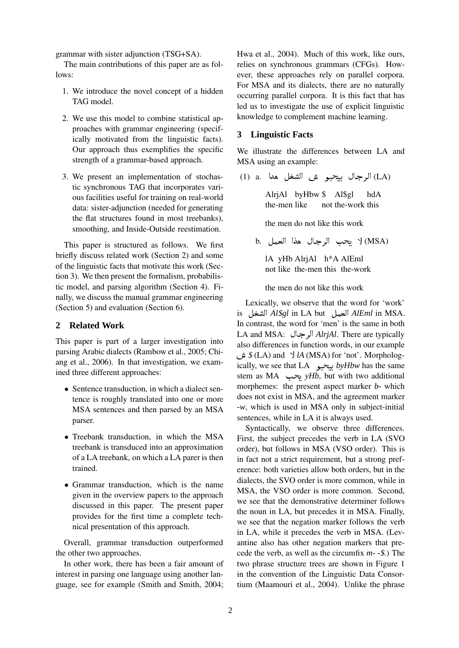grammar with sister adjunction (TSG+SA).

The main contributions of this paper are as follows:

- 1. We introduce the novel concept of a hidden TAG model.
- 2. We use this model to combine statistical approaches with grammar engineering (specifically motivated from the linguistic facts). Our approach thus exemplifies the specific strength of a grammar-based approach.
- 3. We present an implementation of stochastic synchronous TAG that incorporates various facilities useful for training on real-world data: sister-adjunction (needed for generating the flat structures found in most treebanks), smoothing, and Inside-Outside reestimation.

This paper is structured as follows. We first briefly discuss related work (Section 2) and some of the linguistic facts that motivate this work (Section 3). We then present the formalism, probabilistic model, and parsing algorithm (Section 4). Finally, we discuss the manual grammar engineering (Section 5) and evaluation (Section 6).

### **2 Related Work**

This paper is part of a larger investigation into parsing Arabic dialects (Rambow et al., 2005; Chiang et al., 2006). In that investigation, we examined three different approaches:

- Sentence transduction, in which a dialect sentence is roughly translated into one or more MSA sentences and then parsed by an MSA parser.
- Treebank transduction, in which the MSA treebank is transduced into an approximation of a LA treebank, on which a LA parer is then trained.
- Grammar transduction, which is the name given in the overview papers to the approach discussed in this paper. The present paper provides for the first time a complete technical presentation of this approach.

Overall, grammar transduction outperformed the other two approaches.

In other work, there has been a fair amount of interest in parsing one language using another language, see for example (Smith and Smith, 2004;

Hwa et al., 2004). Much of this work, like ours, relies on synchronous grammars (CFGs). However, these approaches rely on parallel corpora. For MSA and its dialects, there are no naturally occurring parallel corpora. It is this fact that has led us to investigate the use of explicit linguistic knowledge to complement machine learning.

### **3 Linguistic Facts**

We illustrate the differences between LA and MSA using an example:

(LA) الرجال بيحبو ش الشغل هدا .a. (LA

AlrjAl byHbw \$ Al\$gl the-men like not the-work this hdA

the men do not like this work

b. يحب الرجال هذا العمل b. ل

lA yHb AlrjAl h\*A AlEml not like the-men this the-work

the men do not like this work

Lexically, we observe that the word for 'work' is ) *Al*\$*gl* in LA but \* *AlEml* in MSA. In contrast, the word for 'men' is the same in both LA and MSA: *AlrjAl*. There are typically  \$ (LA) and ( *lA* (MSA) for 'not'. Morphologalso differences in function words, in our example ically, we see that LA *byHbw* has the same stem as MA يحب *yHb*, but with two additional morphemes: the present aspect marker *b-* which does not exist in MSA, and the agreement marker *-w*, which is used in MSA only in subject-initial sentences, while in LA it is always used.

Syntactically, we observe three differences. First, the subject precedes the verb in LA (SVO order), but follows in MSA (VSO order). This is in fact not a strict requirement, but a strong preference: both varieties allow both orders, but in the dialects, the SVO order is more common, while in MSA, the VSO order is more common. Second, we see that the demonstrative determiner follows the noun in LA, but precedes it in MSA. Finally, we see that the negation marker follows the verb in LA, while it precedes the verb in MSA. (Levantine also has other negation markers that precede the verb, as well as the circumfix *m- -*\$.) The two phrase structure trees are shown in Figure 1 in the convention of the Linguistic Data Consortium (Maamouri et al., 2004). Unlike the phrase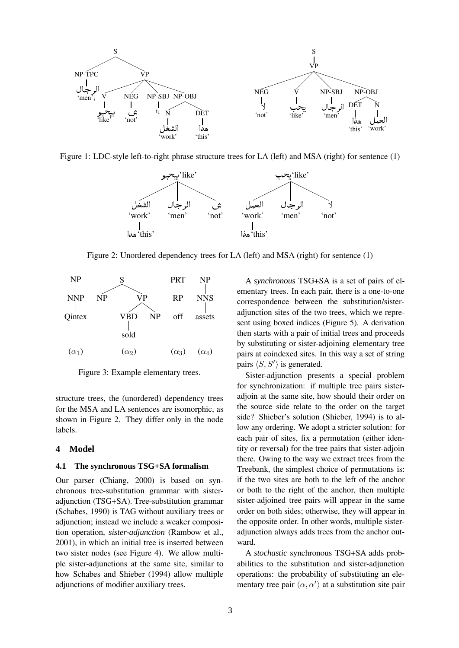

Figure 1: LDC-style left-to-right phrase structure trees for LA (left) and MSA (right) for sentence (1)



Figure 2: Unordered dependency trees for LA (left) and MSA (right) for sentence (1)



Figure 3: Example elementary trees.

structure trees, the (unordered) dependency trees for the MSA and LA sentences are isomorphic, as shown in Figure 2. They differ only in the node labels.

#### **4 Model**

#### **4.1 The synchronous TSG+SA formalism**

Our parser (Chiang, 2000) is based on synchronous tree-substitution grammar with sisteradjunction (TSG+SA). Tree-substitution grammar (Schabes, 1990) is TAG without auxiliary trees or adjunction; instead we include a weaker composition operation, *sister-adjunction* (Rambow et al., 2001), in which an initial tree is inserted between two sister nodes (see Figure 4). We allow multiple sister-adjunctions at the same site, similar to how Schabes and Shieber (1994) allow multiple adjunctions of modifier auxiliary trees.

A *synchronous* TSG+SA is a set of pairs of elementary trees. In each pair, there is a one-to-one correspondence between the substitution/sisteradjunction sites of the two trees, which we represent using boxed indices (Figure 5). A derivation then starts with a pair of initial trees and proceeds by substituting or sister-adjoining elementary tree pairs at coindexed sites. In this way a set of string pairs  $\langle S, S' \rangle$  is generated.

Sister-adjunction presents a special problem for synchronization: if multiple tree pairs sisteradjoin at the same site, how should their order on the source side relate to the order on the target side? Shieber's solution (Shieber, 1994) is to allow any ordering. We adopt a stricter solution: for each pair of sites, fix a permutation (either identity or reversal) for the tree pairs that sister-adjoin there. Owing to the way we extract trees from the Treebank, the simplest choice of permutations is: if the two sites are both to the left of the anchor or both to the right of the anchor, then multiple sister-adjoined tree pairs will appear in the same order on both sides; otherwise, they will appear in the opposite order. In other words, multiple sisteradjunction always adds trees from the anchor outward.

A *stochastic* synchronous TSG+SA adds probabilities to the substitution and sister-adjunction operations: the probability of substituting an elementary tree pair  $\langle \alpha, \alpha' \rangle$  at a substitution site pair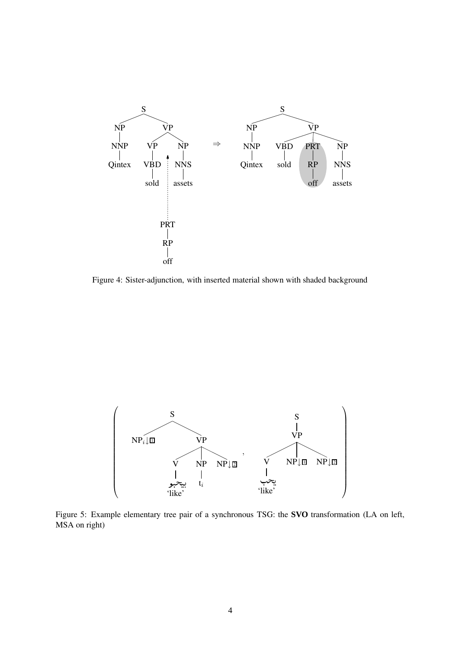

Figure 4: Sister-adjunction, with inserted material shown with shaded background



Figure 5: Example elementary tree pair of a synchronous TSG: the **SVO** transformation (LA on left, MSA on right)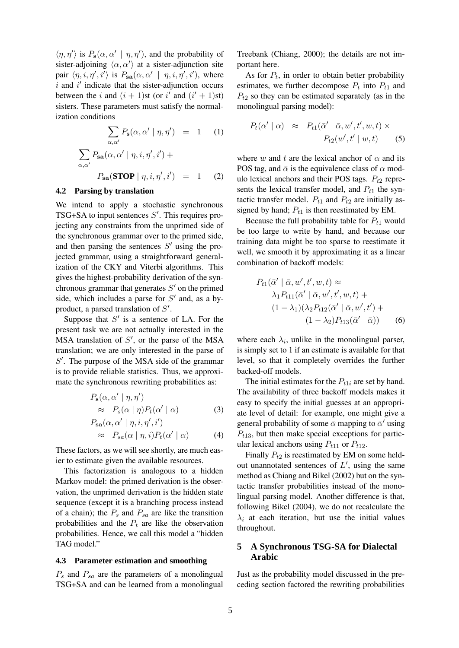$\langle \eta, \eta' \rangle$  is  $P_s(\alpha, \alpha' | \eta, \eta')$ , and the probability of sister-adjoining  $\langle \alpha, \alpha' \rangle$  at a sister-adjunction site pair  $\langle \eta, i, \eta', i' \rangle$  is  $P_{\text{sa}}(\alpha, \alpha' \mid \eta, i, \eta', i')$ , where  $i$  and  $i'$  indicate that the sister-adjunction occurs between the i and  $(i + 1)$ st (or i' and  $(i' + 1)$ st) sisters. These parameters must satisfy the normalization conditions

$$
\sum_{\alpha,\alpha'} P_{s}(\alpha, \alpha' | \eta, \eta') = 1 \quad (1)
$$

$$
\sum_{\alpha,\alpha'} P_{sa}(\alpha, \alpha' | \eta, i, \eta', i') +
$$

$$
P_{sa}(\text{STOP } | \eta, i, \eta', i') = 1 \quad (2)
$$

#### **4.2 Parsing by translation**

We intend to apply a stochastic synchronous TSG+SA to input sentences  $S'$ . This requires projecting any constraints from the unprimed side of the synchronous grammar over to the primed side, and then parsing the sentences  $S'$  using the projected grammar, using a straightforward generalization of the CKY and Viterbi algorithms. This gives the highest-probability derivation of the synchronous grammar that generates  $S'$  on the primed side, which includes a parse for  $S'$  and, as a byproduct, a parsed translation of  $S'$ .

Suppose that  $S'$  is a sentence of LA. For the present task we are not actually interested in the  $MSA$  translation of  $S'$ , or the parse of the MSA translation; we are only interested in the parse of  $S'$ . The purpose of the MSA side of the grammar is to provide reliable statistics. Thus, we approximate the synchronous rewriting probabilities as:

$$
P_{\mathbf{s}}(\alpha, \alpha' \mid \eta, \eta')
$$
  
\n
$$
\approx P_{s}(\alpha \mid \eta) P_{t}(\alpha' \mid \alpha)
$$
  
\n
$$
P_{\mathbf{s}\mathbf{a}}(\alpha, \alpha' \mid \eta, i, \eta', i')
$$
\n(3)

$$
\approx P_{sa}(\alpha \mid \eta, i) P_t(\alpha' \mid \alpha) \tag{4}
$$

These factors, as we will see shortly, are much easier to estimate given the available resources.

This factorization is analogous to a hidden Markov model: the primed derivation is the observation, the unprimed derivation is the hidden state sequence (except it is a branching process instead of a chain); the  $P_s$  and  $P_{sa}$  are like the transition probabilities and the  $P_t$  are like the observation probabilities. Hence, we call this model a "hidden TAG model."

#### **4.3 Parameter estimation and smoothing**

 $P_s$  and  $P_{sa}$  are the parameters of a monolingual TSG+SA and can be learned from a monolingual Treebank (Chiang, 2000); the details are not important here.

As for  $P_t$ , in order to obtain better probability estimates, we further decompose  $P_t$  into  $P_{t1}$  and  $P_{t2}$  so they can be estimated separately (as in the monolingual parsing model):

$$
P_t(\alpha' \mid \alpha) \approx P_{t1}(\bar{\alpha}' \mid \bar{\alpha}, w', t', w, t) \times P_{t2}(w', t' \mid w, t)
$$
 (5)

where w and t are the lexical anchor of  $\alpha$  and its POS tag, and  $\bar{\alpha}$  is the equivalence class of  $\alpha$  modulo lexical anchors and their POS tags.  $P_{t2}$  represents the lexical transfer model, and  $P_{t1}$  the syntactic transfer model.  $P_{t1}$  and  $P_{t2}$  are initially assigned by hand;  $P_{t1}$  is then reestimated by EM.

Because the full probability table for  $P_{t1}$  would be too large to write by hand, and because our training data might be too sparse to reestimate it well, we smooth it by approximating it as a linear combination of backoff models:

$$
P_{t1}(\bar{\alpha}' \mid \bar{\alpha}, w', t', w, t) \approx
$$
  
\n
$$
\lambda_1 P_{t11}(\bar{\alpha}' \mid \bar{\alpha}, w', t', w, t) +
$$
  
\n
$$
(1 - \lambda_1)(\lambda_2 P_{t12}(\bar{\alpha}' \mid \bar{\alpha}, w', t') +
$$
  
\n
$$
(1 - \lambda_2) P_{t13}(\bar{\alpha}' \mid \bar{\alpha}))
$$
 (6)

where each  $\lambda_i$ , unlike in the monolingual parser, is simply set to 1 if an estimate is available for that level, so that it completely overrides the further backed-off models.

The initial estimates for the  $P_{t1i}$  are set by hand. The availability of three backoff models makes it easy to specify the initial guesses at an appropriate level of detail: for example, one might give a general probability of some  $\bar{\alpha}$  mapping to  $\bar{\alpha}'$  using  $P_{t13}$ , but then make special exceptions for particular lexical anchors using  $P_{t11}$  or  $P_{t12}$ .

Finally  $P_{t2}$  is reestimated by EM on some heldout unannotated sentences of  $L'$ , using the same method as Chiang and Bikel (2002) but on the syntactic transfer probabilities instead of the monolingual parsing model. Another difference is that, following Bikel (2004), we do not recalculate the  $\lambda_i$  at each iteration, but use the initial values throughout.

## **5 A Synchronous TSG-SA for Dialectal Arabic**

Just as the probability model discussed in the preceding section factored the rewriting probabilities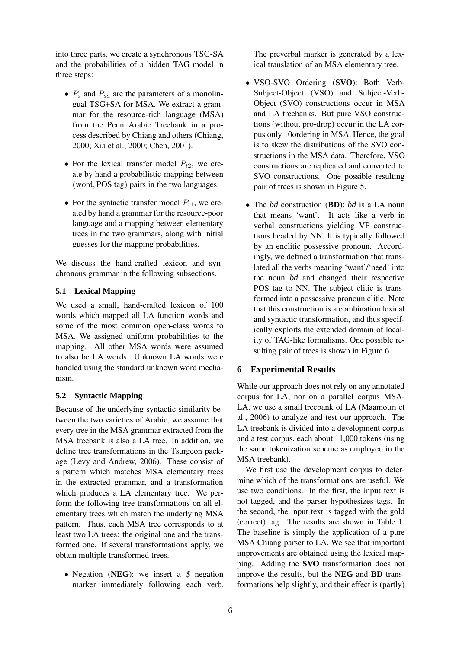into three parts, we create a synchronous TSG-SA and the probabilities of a hidden TAG model in three steps:

- $P_s$  and  $P_{sa}$  are the parameters of a monolingual TSG+SA for MSA. We extract a grammar for the resource-rich language (MSA) from the Penn Arabic Treebank in a process described by Chiang and others (Chiang, 2000; Xia et al., 2000; Chen, 2001).
- For the lexical transfer model  $P_{t2}$ , we create by hand a probabilistic mapping between (word, POS tag) pairs in the two languages.
- For the syntactic transfer model  $P_{t1}$ , we created by hand a grammar for the resource-poor language and a mapping between elementary trees in the two grammars, along with initial guesses for the mapping probabilities.

We discuss the hand-crafted lexicon and synchronous grammar in the following subsections.

## **5.1 Lexical Mapping**

We used a small, hand-crafted lexicon of 100 words which mapped all LA function words and some of the most common open-class words to MSA. We assigned uniform probabilities to the mapping. All other MSA words were assumed to also be LA words. Unknown LA words were handled using the standard unknown word mechanism.

## **5.2 Syntactic Mapping**

Because of the underlying syntactic similarity between the two varieties of Arabic, we assume that every tree in the MSA grammar extracted from the MSA treebank is also a LA tree. In addition, we define tree transformations in the Tsurgeon package (Levy and Andrew, 2006). These consist of a pattern which matches MSA elementary trees in the extracted grammar, and a transformation which produces a LA elementary tree. We perform the following tree transformations on all elementary trees which match the underlying MSA pattern. Thus, each MSA tree corresponds to at least two LA trees: the original one and the transformed one. If several transformations apply, we obtain multiple transformed trees.

• Negation (**NEG**): we insert a \$ negation marker immediately following each verb. The preverbal marker is generated by a lexical translation of an MSA elementary tree.

- VSO-SVO Ordering (**SVO**): Both Verb-Subject-Object (VSO) and Subject-Verb-Object (SVO) constructions occur in MSA and LA treebanks. But pure VSO constructions (without pro-drop) occur in the LA corpus only 10ordering in MSA. Hence, the goal is to skew the distributions of the SVO constructions in the MSA data. Therefore, VSO constructions are replicated and converted to SVO constructions. One possible resulting pair of trees is shown in Figure 5.
- The *bd* construction (**BD**): *bd* is a LA noun that means 'want'. It acts like a verb in verbal constructions yielding VP constructions headed by NN. It is typically followed by an enclitic possessive pronoun. Accordingly, we defined a transformation that translated all the verbs meaning 'want'/'need' into the noun *bd* and changed their respective POS tag to NN. The subject clitic is transformed into a possessive pronoun clitic. Note that this construction is a combination lexical and syntactic transformation, and thus specifically exploits the extended domain of locality of TAG-like formalisms. One possible resulting pair of trees is shown in Figure 6.

## **6 Experimental Results**

While our approach does not rely on any annotated corpus for LA, nor on a parallel corpus MSA-LA, we use a small treebank of LA (Maamouri et al., 2006) to analyze and test our approach. The LA treebank is divided into a development corpus and a test corpus, each about 11,000 tokens (using the same tokenization scheme as employed in the MSA treebank).

We first use the development corpus to determine which of the transformations are useful. We use two conditions. In the first, the input text is not tagged, and the parser hypothesizes tags. In the second, the input text is tagged with the gold (correct) tag. The results are shown in Table 1. The baseline is simply the application of a pure MSA Chiang parser to LA. We see that important improvements are obtained using the lexical mapping. Adding the **SVO** transformation does not improve the results, but the **NEG** and **BD** transformations help slightly, and their effect is (partly)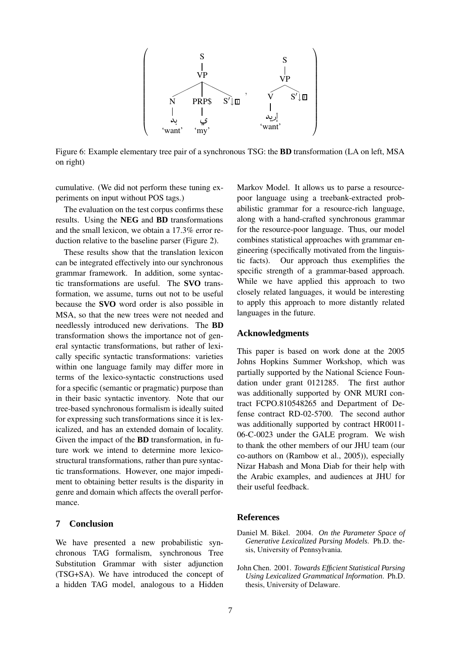

Figure 6: Example elementary tree pair of a synchronous TSG: the **BD** transformation (LA on left, MSA on right)

cumulative. (We did not perform these tuning experiments on input without POS tags.)

The evaluation on the test corpus confirms these results. Using the **NEG** and **BD** transformations and the small lexicon, we obtain a 17.3% error reduction relative to the baseline parser (Figure 2).

These results show that the translation lexicon can be integrated effectively into our synchronous grammar framework. In addition, some syntactic transformations are useful. The **SVO** transformation, we assume, turns out not to be useful because the **SVO** word order is also possible in MSA, so that the new trees were not needed and needlessly introduced new derivations. The **BD** transformation shows the importance not of general syntactic transformations, but rather of lexically specific syntactic transformations: varieties within one language family may differ more in terms of the lexico-syntactic constructions used for a specific (semantic or pragmatic) purpose than in their basic syntactic inventory. Note that our tree-based synchronous formalism is ideally suited for expressing such transformations since it is lexicalized, and has an extended domain of locality. Given the impact of the **BD** transformation, in future work we intend to determine more lexicostructural transformations, rather than pure syntactic transformations. However, one major impediment to obtaining better results is the disparity in genre and domain which affects the overall performance.

## **7 Conclusion**

We have presented a new probabilistic synchronous TAG formalism, synchronous Tree Substitution Grammar with sister adjunction (TSG+SA). We have introduced the concept of a hidden TAG model, analogous to a Hidden

Markov Model. It allows us to parse a resourcepoor language using a treebank-extracted probabilistic grammar for a resource-rich language, along with a hand-crafted synchronous grammar for the resource-poor language. Thus, our model combines statistical approaches with grammar engineering (specifically motivated from the linguistic facts). Our approach thus exemplifies the specific strength of a grammar-based approach. While we have applied this approach to two closely related languages, it would be interesting to apply this approach to more distantly related languages in the future.

## **Acknowledgments**

This paper is based on work done at the 2005 Johns Hopkins Summer Workshop, which was partially supported by the National Science Foundation under grant 0121285. The first author was additionally supported by ONR MURI contract FCPO.810548265 and Department of Defense contract RD-02-5700. The second author was additionally supported by contract HR0011- 06-C-0023 under the GALE program. We wish to thank the other members of our JHU team (our co-authors on (Rambow et al., 2005)), especially Nizar Habash and Mona Diab for their help with the Arabic examples, and audiences at JHU for their useful feedback.

### **References**

- Daniel M. Bikel. 2004. *On the Parameter Space of Generative Lexicalized Parsing Models*. Ph.D. thesis, University of Pennsylvania.
- John Chen. 2001. *Towards Efficient Statistical Parsing Using Lexicalized Grammatical Information*. Ph.D. thesis, University of Delaware.